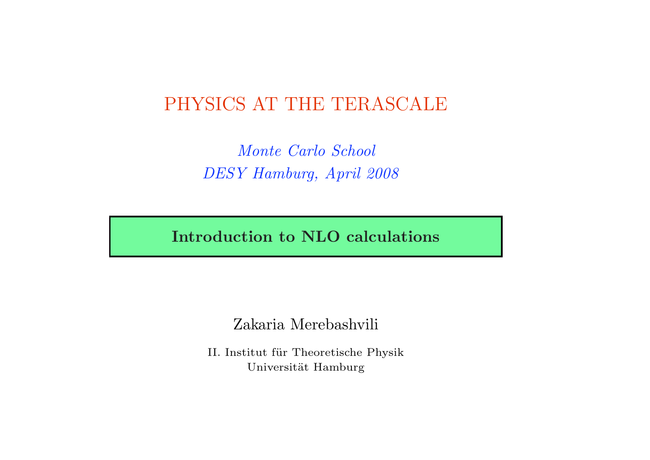# PHYSICS AT THE TERASCALE

Monte Carlo School DESY Hamburg, April 2008

Introduction to NLO calculations

Zakaria Merebashvili

II. Institut für Theoretische Physik Universität Hamburg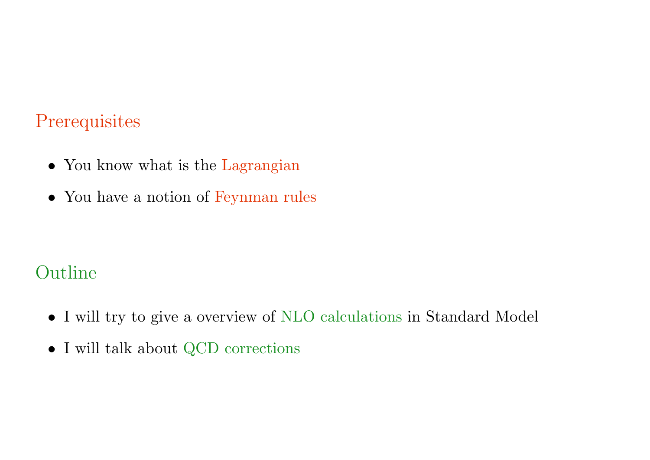# **Prerequisites**

- You know what is the Lagrangian
- You have a notion of Feynman rules

# Outline

- I will try to give a overview of NLO calculations in Standard Model
- I will talk about QCD corrections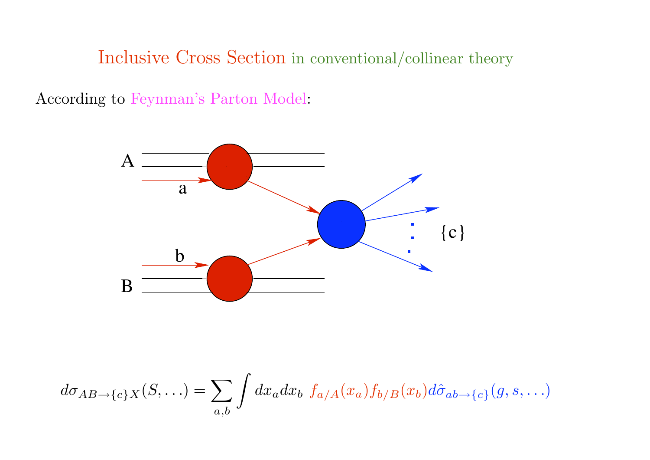Inclusive Cross Section in conventional/collinear theory

According to Feynman's Parton Model:



$$
d\sigma_{AB\to{c}X}(S,\ldots) = \sum_{a,b} \int dx_a dx_b f_{a/A}(x_a) f_{b/B}(x_b) d\hat{\sigma}_{ab \to{c}B}(g, s, \ldots)
$$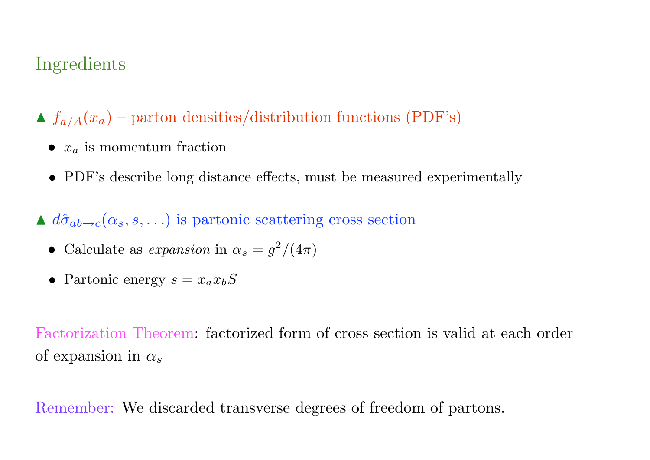# Ingredients

 $\blacktriangle$   $f_{a/A}(x_a)$  – parton densities/distribution functions (PDF's)

- $x_a$  is momentum fraction
- PDF's describe long distance effects, must be measured experimentally

 $\triangle d\hat{\sigma}_{ab\rightarrow c}(\alpha_s, s, \ldots)$  is partonic scattering cross section

• Calculate as expansion in 
$$
\alpha_s = g^2/(4\pi)
$$

• Partonic energy  $s = x_a x_b S$ 

Factorization Theorem: factorized form of cross section is valid at each order of expansion in  $\alpha_s$ 

Remember: We discarded transverse degrees of freedom of partons.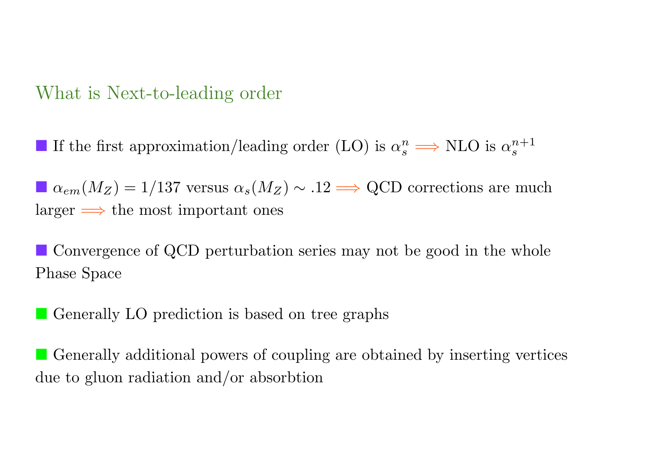## What is Next-to-leading order

■ If the first approximation/leading order (LO) is  $\alpha_s^n$  ⇒ NLO is  $\alpha_s^{n+1}$ 

 $\blacksquare \alpha_{em}(M_Z) = 1/137$  versus  $\alpha_s(M_Z) \sim .12 \Longrightarrow$  QCD corrections are much  $larger \implies$  the most important ones

**Convergence of QCD perturbation series may not be good in the whole** Phase Space

**C** Generally LO prediction is based on tree graphs

" Generally additional powers of coupling are obtained by inserting vertices due to gluon radiation and/or absorbtion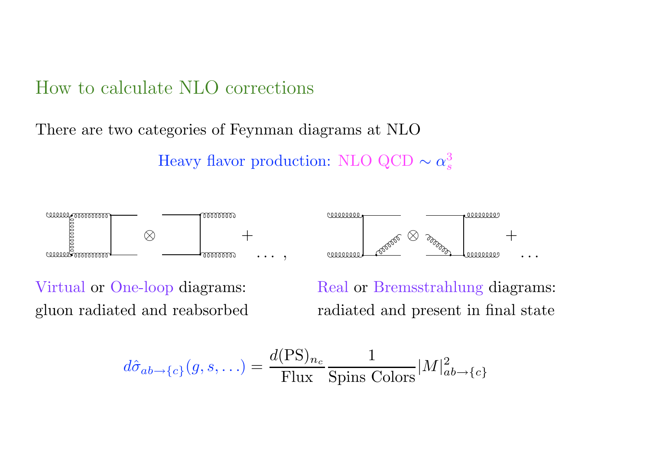## How to calculate NLO corrections

There are two categories of Feynman diagrams at NLO

Heavy flavor production: NLO QCD  $\sim \alpha_s^3$ 



Virtual or One-loop diagrams: Real or Bremsstrahlung diagrams: gluon radiated and reabsorbed radiated and present in final state

$$
d\hat{\sigma}_{ab \to \{c\}}(g, s, \ldots) = \frac{d(\text{PS})_{n_c}}{\text{Flux}} \frac{1}{\text{Spins Colors}} |M|^2_{ab \to \{c\}}
$$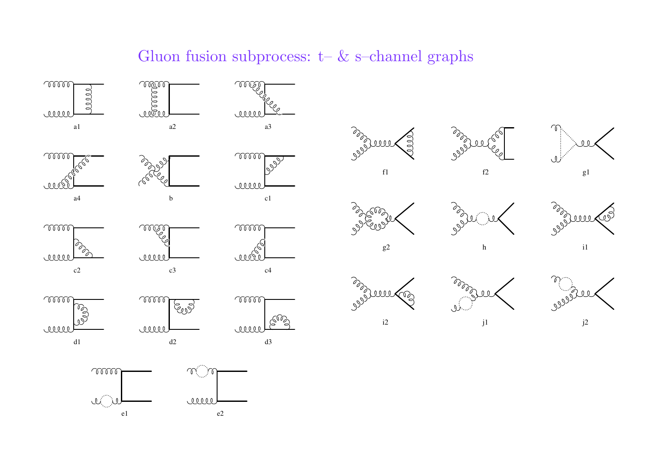#### Gluon fusion subprocess:  $t-$  & s–channel graphs

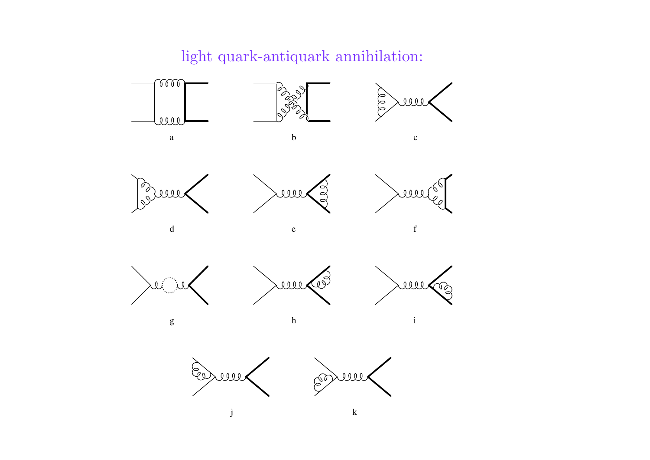light quark-antiquark annihilation:















 $g$  h i

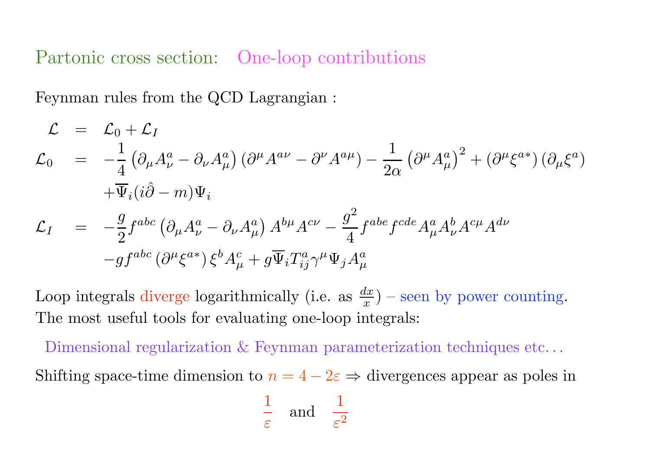Partonic cross section: One-loop contributions

Feynman rules from the QCD Lagrangian :

$$
\mathcal{L} = \mathcal{L}_0 + \mathcal{L}_I
$$
\n
$$
\mathcal{L}_0 = -\frac{1}{4} \left( \partial_\mu A_\nu^a - \partial_\nu A_\mu^a \right) \left( \partial^\mu A^{a\nu} - \partial^\nu A^{a\mu} \right) - \frac{1}{2\alpha} \left( \partial^\mu A_\mu^a \right)^2 + \left( \partial^\mu \xi^{a*} \right) \left( \partial_\mu \xi^a \right)
$$
\n
$$
+ \overline{\Psi}_i (i\hat{\partial} - m) \Psi_i
$$
\n
$$
\mathcal{L}_I = -\frac{g}{2} f^{abc} \left( \partial_\mu A_\nu^a - \partial_\nu A_\mu^a \right) A^{b\mu} A^{c\nu} - \frac{g^2}{4} f^{abe} f^{cde} A_\mu^a A_\nu^b A^{c\mu} A^{d\nu}
$$
\n
$$
-g f^{abc} \left( \partial^\mu \xi^{a*} \right) \xi^b A_\mu^c + g \overline{\Psi}_i T_{ij}^a \gamma^\mu \Psi_j A_\mu^a
$$

Loop integrals diverge logarithmically (i.e. as  $\frac{dx}{x}$ ) – seen by power counting. The most useful tools for evaluating one-loop integrals:

Dimensional regularization & Feynman parameterization techniques etc...

Shifting space-time dimension to  $n = 4 - 2\varepsilon \Rightarrow$  divergences appear as poles in

$$
\frac{1}{\varepsilon} \quad \text{and} \quad \frac{1}{\varepsilon^2}
$$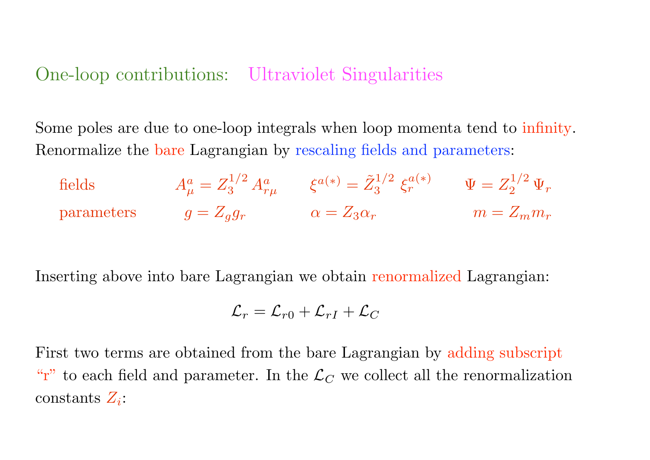#### One-loop contributions: Ultraviolet Singularities

Some poles are due to one-loop integrals when loop momenta tend to infinity. Renormalize the bare Lagrangian by rescaling fields and parameters:

fields  $\tilde{\mu}_{\mu}^a = Z_3^{1/2} \, A_{r \mu}^a \qquad \xi^{a(*)} = \tilde{Z}_3^{1/2} \, \xi^{a(*)}_r \qquad \Psi = Z_2^{1/2} \, \Psi_r$ parameters  $g = Z_g g_r$   $\alpha = Z_3 \alpha_r$   $m = Z_m m_r$ 

Inserting above into bare Lagrangian we obtain renormalized Lagrangian:

$$
\mathcal{L}_r = \mathcal{L}_{r0} + \mathcal{L}_{rI} + \mathcal{L}_C
$$

First two terms are obtained from the bare Lagrangian by adding subscript "r" to each field and parameter. In the  $\mathcal{L}_C$  we collect all the renormalization constants  $Z_i$ :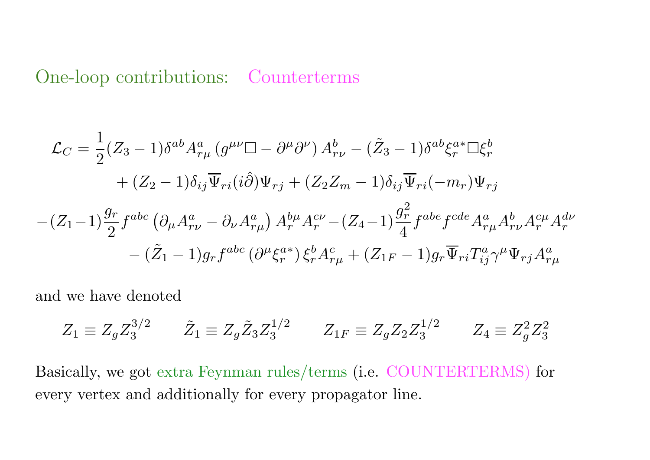#### One-loop contributions: Counterterms

$$
\mathcal{L}_C = \frac{1}{2}(Z_3 - 1)\delta^{ab}A_{r\mu}^a (g^{\mu\nu}\Box - \partial^{\mu}\partial^{\nu}) A_{r\nu}^b - (\tilde{Z}_3 - 1)\delta^{ab}\xi_r^{a*}\Box\xi_r^b
$$
  
+  $(Z_2 - 1)\delta_{ij}\overline{\Psi}_{ri}(i\hat{\partial})\Psi_{rj} + (Z_2Z_m - 1)\delta_{ij}\overline{\Psi}_{ri}(-m_r)\Psi_{rj}$   
- $(Z_1 - 1)\frac{g_r}{2}f^{abc} (\partial_\mu A_{r\nu}^a - \partial_\nu A_{r\mu}^a) A_r^{b\mu}A_r^{c\nu} - (Z_4 - 1)\frac{g_r^2}{4}f^{abe}f^{cde}A_{r\mu}^a A_{r\nu}^bA_r^{c\mu}A_r^{d\nu}$   
- $(\tilde{Z}_1 - 1)g_r f^{abc} (\partial^\mu \xi_r^{a*}) \xi_r^b A_{r\mu}^c + (Z_{1F} - 1)g_r \overline{\Psi}_{ri}T_{ij}^a \gamma^\mu \Psi_{rj}A_{r\mu}^a$ 

and we have denoted

$$
Z_1 \equiv Z_g Z_3^{3/2} \qquad \tilde{Z}_1 \equiv Z_g \tilde{Z}_3 Z_3^{1/2} \qquad Z_{1F} \equiv Z_g Z_2 Z_3^{1/2} \qquad Z_4 \equiv Z_g^2 Z_3^2
$$

Basically, we got extra Feynman rules/terms (i.e. COUNTERTERMS) for every vertex and additionally for every propagator line.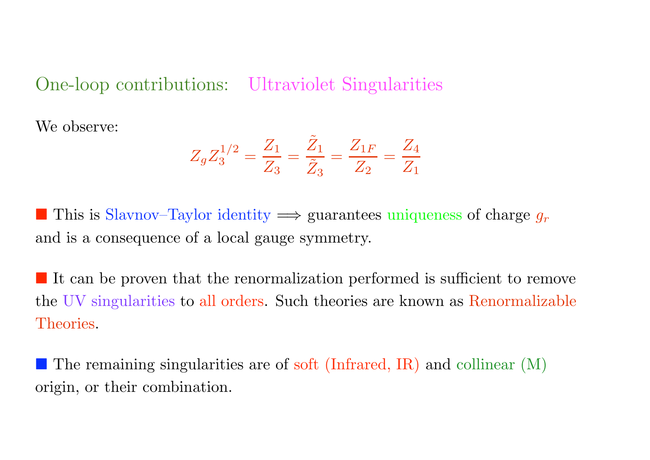#### One-loop contributions: Ultraviolet Singularities

We observe:

$$
Z_g Z_3^{1/2} = \frac{Z_1}{Z_3} = \frac{\tilde{Z}_1}{\tilde{Z}_3} = \frac{Z_{1F}}{Z_2} = \frac{Z_4}{Z_1}
$$

■ This is Slavnov–Taylor identity  $\implies$  guarantees uniqueness of charge  $g_r$ and is a consequence of a local gauge symmetry.

It can be proven that the renormalization performed is sufficient to remove the UV singularities to all orders. Such theories are known as Renormalizable Theories.

 $\blacksquare$  The remaining singularities are of soft (Infrared, IR) and collinear (M) origin, or their combination.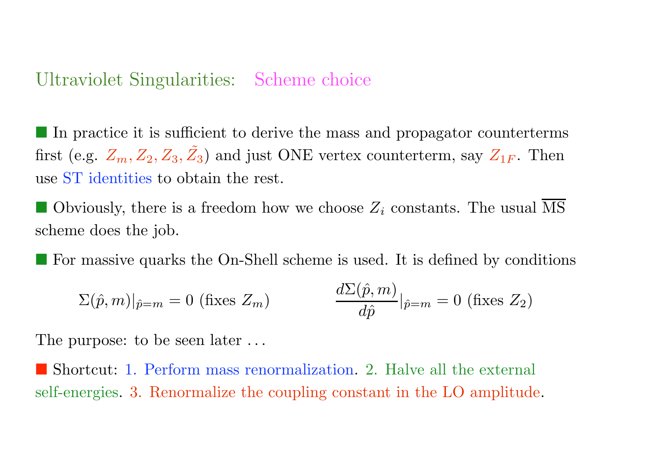#### Ultraviolet Singularities: Scheme choice

In practice it is sufficient to derive the mass and propagator counterterms first (e.g.  $Z_m, Z_2, Z_3, \tilde{Z}_3$ ) and just ONE vertex counterterm, say  $Z_{1F}$ . Then use ST identities to obtain the rest.

Obviously, there is a freedom how we choose  $Z_i$  constants. The usual MS scheme does the job.

" For massive quarks the On-Shell scheme is used. It is defined by conditions

$$
\Sigma(\hat{p}, m)|_{\hat{p}=m} = 0 \text{ (fixes } Z_m) \qquad \frac{d\Sigma(\hat{p}, m)}{d\hat{p}}|_{\hat{p}=m} = 0 \text{ (fixes } Z_2)
$$

The purpose: to be seen later ...

Shortcut: 1. Perform mass renormalization. 2. Halve all the external self-energies. 3. Renormalize the coupling constant in the LO amplitude.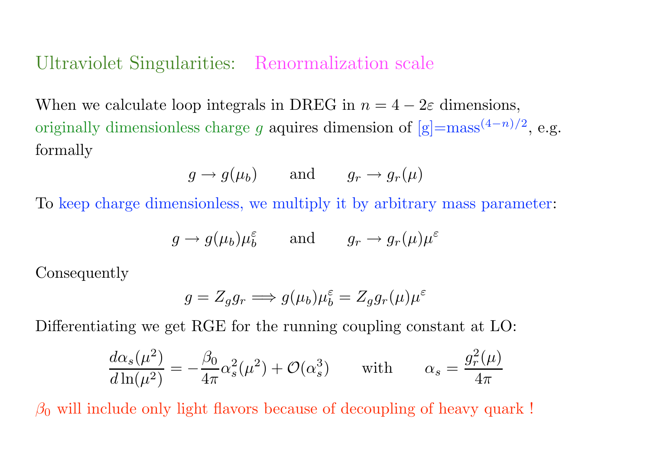#### Ultraviolet Singularities: Renormalization scale

When we calculate loop integrals in DREG in  $n = 4 - 2\varepsilon$  dimensions, originally dimensionless charge g aquires dimension of  $[g] = \text{mass}^{(4-n)/2}$ , e.g. formally

$$
g \to g(\mu_b)
$$
 and  $g_r \to g_r(\mu)$ 

To keep charge dimensionless, we multiply it by arbitrary mass parameter:

$$
g \to g(\mu_b)\mu_b^{\varepsilon}
$$
 and  $g_r \to g_r(\mu)\mu^{\varepsilon}$ 

Consequently

$$
g = Z_g g_r \Longrightarrow g(\mu_b) \mu_b^{\varepsilon} = Z_g g_r(\mu) \mu^{\varepsilon}
$$

Differentiating we get RGE for the running coupling constant at LO:

$$
\frac{d\alpha_s(\mu^2)}{d\ln(\mu^2)} = -\frac{\beta_0}{4\pi}\alpha_s^2(\mu^2) + \mathcal{O}(\alpha_s^3) \quad \text{with} \quad \alpha_s = \frac{g_r^2(\mu)}{4\pi}
$$

 $\beta_0$  will include only light flavors because of decoupling of heavy quark!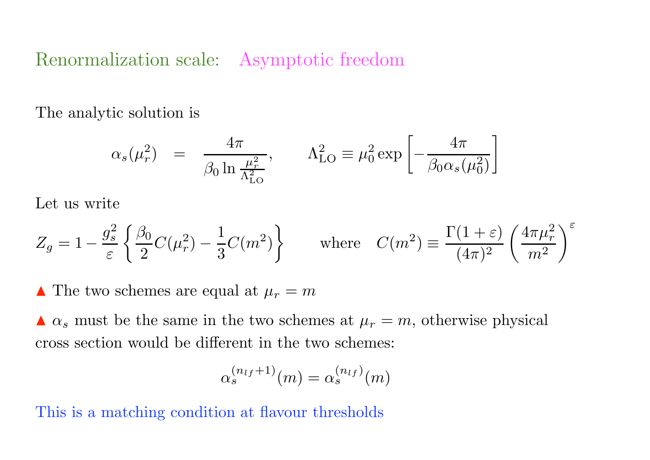## Renormalization scale: Asymptotic freedom

The analytic solution is

$$
\alpha_s(\mu_r^2) = \frac{4\pi}{\beta_0 \ln \frac{\mu_r^2}{\Lambda_{\text{LO}}^2}}, \qquad \Lambda_{\text{LO}}^2 \equiv \mu_0^2 \exp\left[-\frac{4\pi}{\beta_0 \alpha_s(\mu_0^2)}\right]
$$

Let us write

$$
Z_g = 1 - \frac{g_s^2}{\varepsilon} \left\{ \frac{\beta_0}{2} C(\mu_r^2) - \frac{1}{3} C(m^2) \right\} \quad \text{where} \quad C(m^2) \equiv \frac{\Gamma(1+\varepsilon)}{(4\pi)^2} \left( \frac{4\pi\mu_r^2}{m^2} \right)^{\varepsilon}
$$

 $\blacktriangle$  The two schemes are equal at  $\mu_r = m$ 

 $\Delta \alpha_s$  must be the same in the two schemes at  $\mu_r = m$ , otherwise physical cross section would be different in the two schemes:

$$
\alpha_s^{(n_{lf}+1)}(m)=\alpha_s^{(n_{lf})}(m)
$$

This is a matching condition at flavour thresholds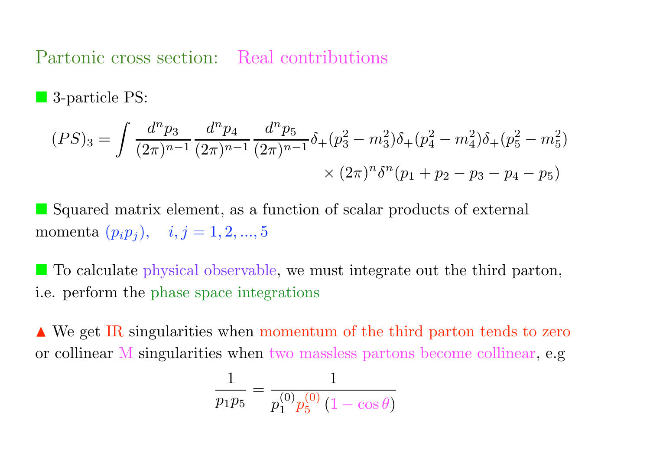Partonic cross section: Real contributions

3-particle PS:

$$
(PS)_3 = \int \frac{d^n p_3}{(2\pi)^{n-1}} \frac{d^n p_4}{(2\pi)^{n-1}} \frac{d^n p_5}{(2\pi)^{n-1}} \delta_+(p_3^2 - m_3^2) \delta_+(p_4^2 - m_4^2) \delta_+(p_5^2 - m_5^2)
$$
  
 
$$
\times (2\pi)^n \delta^n (p_1 + p_2 - p_3 - p_4 - p_5)
$$

" Squared matrix element, as a function of scalar products of external momenta  $(p_i p_j)$ ,  $i, j = 1, 2, ..., 5$ 

" To calculate physical observable, we must integrate out the third parton, i.e. perform the phase space integrations

**■ We get IR singularities when momentum of the third parton tends to zero** or collinear M singularities when two massless partons become collinear, e.g

$$
\frac{1}{p_1 p_5} = \frac{1}{p_1^{(0)} p_5^{(0)} (1 - \cos \theta)}
$$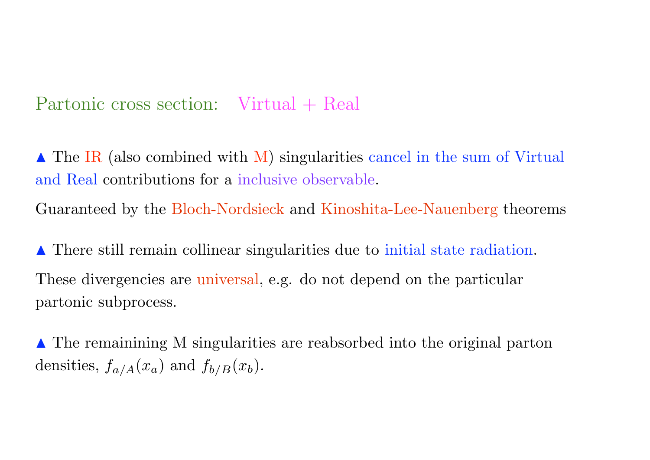# Partonic cross section: Virtual + Real

 $\triangle$  The IR (also combined with M) singularities cancel in the sum of Virtual and Real contributions for a inclusive observable.

Guaranteed by the Bloch-Nordsieck and Kinoshita-Lee-Nauenberg theorems

! There still remain collinear singularities due to initial state radiation. These divergencies are universal, e.g. do not depend on the particular partonic subprocess.

▲ The remainining M singularities are reabsorbed into the original parton densities,  $f_{a/A}(x_a)$  and  $f_{b/B}(x_b)$ .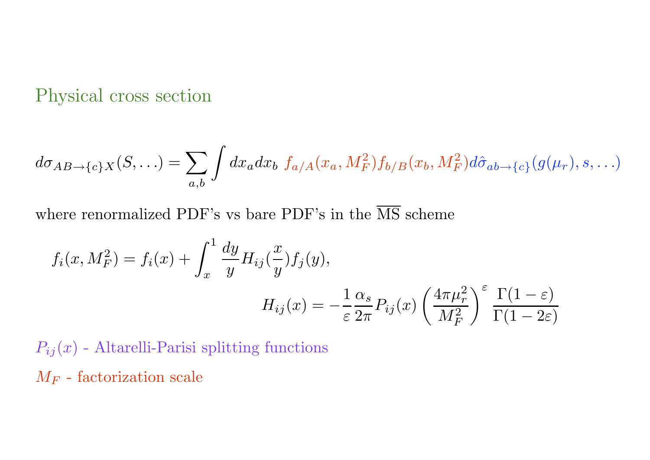Physical cross section

$$
d\sigma_{AB\to\{c\}X}(S,\ldots) = \sum_{a,b} \int dx_a dx_b f_{a/A}(x_a, M_F^2) f_{b/B}(x_b, M_F^2) d\hat{\sigma}_{ab\to\{c\}}(g(\mu_r), s, \ldots)
$$

where renormalized PDF's vs bare PDF's in the  $\overline{\text{MS}}$  scheme

$$
f_i(x, M_F^2) = f_i(x) + \int_x^1 \frac{dy}{y} H_{ij}(\frac{x}{y}) f_j(y),
$$
  

$$
H_{ij}(x) = -\frac{1}{\varepsilon} \frac{\alpha_s}{2\pi} P_{ij}(x) \left(\frac{4\pi\mu_r^2}{M_F^2}\right) \frac{\varepsilon}{\Gamma(1-\varepsilon)}
$$

 $P_{ij}(x)$  - Altarelli-Parisi splitting functions  $M_F$  - factorization scale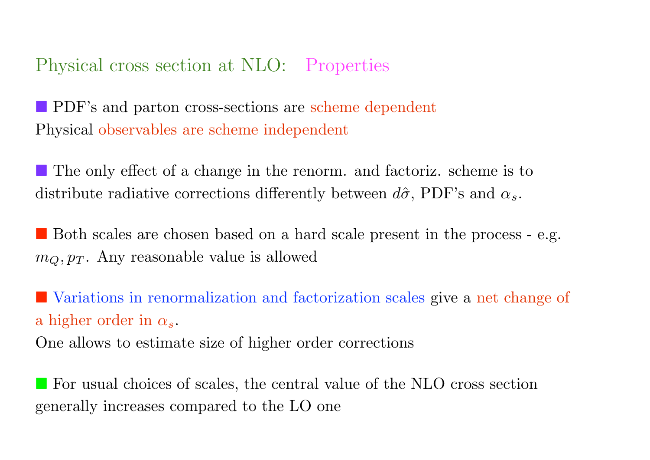## Physical cross section at NLO: Properties

**PDF**'s and parton cross-sections are scheme dependent Physical observables are scheme independent

" The only effect of a change in the renorm. and factoriz. scheme is to distribute radiative corrections differently between  $d\hat{\sigma}$ , PDF's and  $\alpha_s$ .

" Both scales are chosen based on a hard scale present in the process - e.g.  $m_Q, p_T$ . Any reasonable value is allowed

" Variations in renormalization and factorization scales give a net change of a higher order in  $\alpha_s$ .

One allows to estimate size of higher order corrections

" For usual choices of scales, the central value of the NLO cross section generally increases compared to the LO one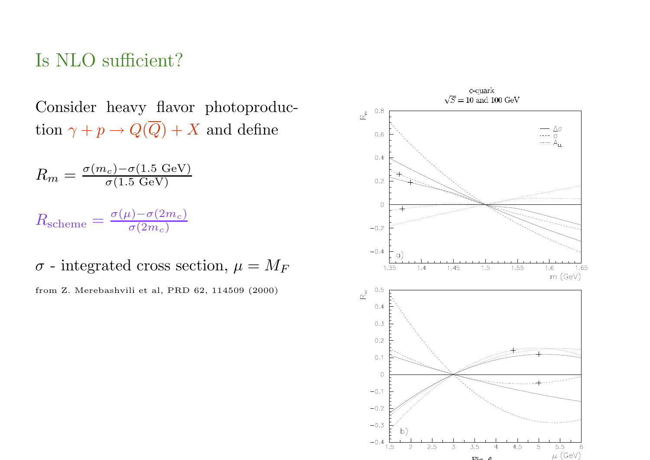#### Is NLO sufficient?

Consider heavy flavor photoproduction  $\gamma + p \rightarrow Q(\overline{Q}) + X$  and define

$$
R_m = \frac{\sigma(m_c) - \sigma(1.5 \text{ GeV})}{\sigma(1.5 \text{ GeV})}
$$

 $R_{\rm scheme} = \frac{\sigma(\mu) - \sigma(2m_c)}{\sigma(2m_c)}$  $\sigma(2m_c)$ 

 $\sigma$  - integrated cross section,  $\mu = M_F$ 

from Z. Merebashvili et al, PRD 62, 114509 (2000)

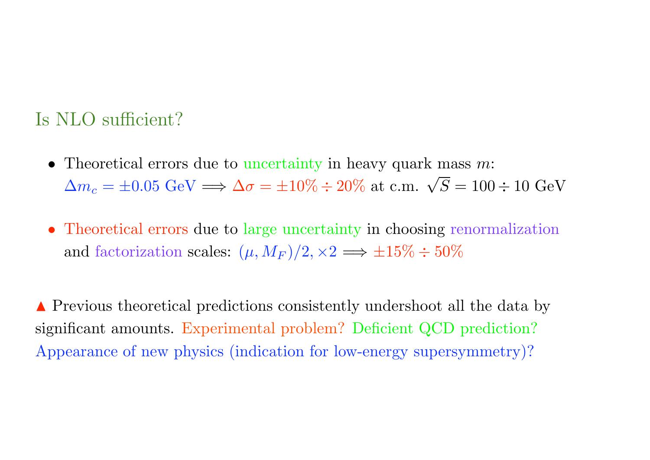## Is NLO sufficient?

- Theoretical errors due to uncertainty in heavy quark mass  $m$ :  $\Delta m_c = \pm 0.05 \text{ GeV} \Longrightarrow \Delta \sigma = \pm 10\% \div 20\% \text{ at c.m. } \sqrt{S} = 100 \div 10 \text{ GeV}$
- Theoretical errors due to large uncertainty in choosing renormalization and factorization scales:  $(\mu, M_F)/2, \times 2 \implies \pm 15\% \div 50\%$

**A** Previous theoretical predictions consistently undershoot all the data by significant amounts. Experimental problem? Deficient QCD prediction? Appearance of new physics (indication for low-energy supersymmetry)?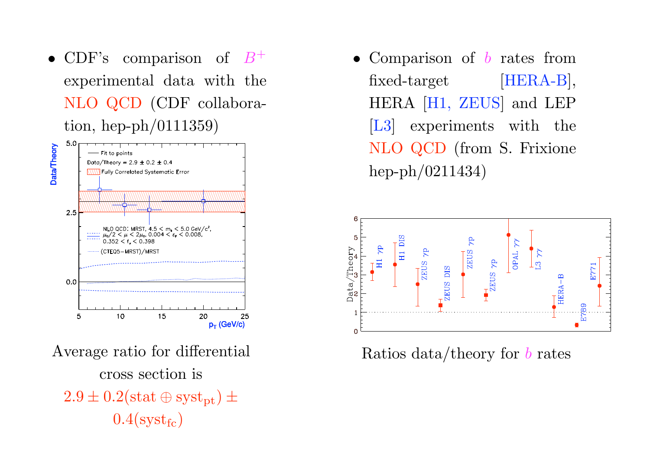• CDF's comparison of  $B^+$ experimental data with the NLO QCD (CDF collaboration, hep-ph/0111359)



Average ratio for differential cross section is  $2.9 \pm 0.2$ (stat  $\oplus$  syst<sub>pt</sub>)  $\pm$  $0.4$ (syst<sub>fc</sub>)

• Comparison of  $b$  rates from fixed-target [HERA-B], HERA [H1, ZEUS] and LEP [L3] experiments with the NLO QCD (from S. Frixione hep-ph/0211434)



Ratios data/theory for  $b$  rates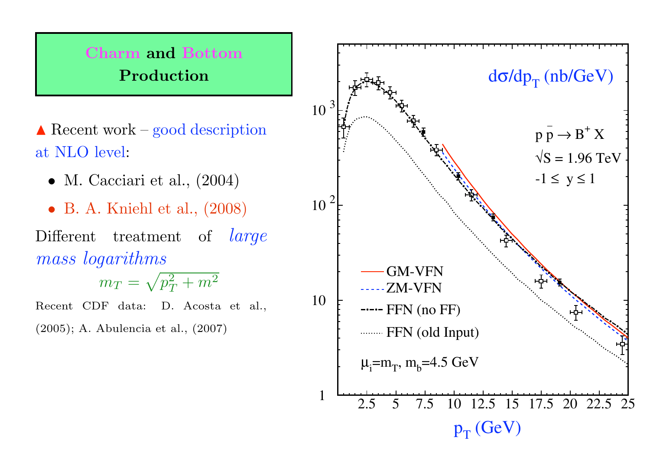## Charm and Bottom Production

 $\triangle$  Recent work – good description at NLO level:

- M. Cacciari et al.,  $(2004)$
- B. A. Kniehl et al., (2008)

Different treatment of *large* mass logarithms

$$
m_T = \sqrt{p_T^2 + m^2}
$$

Recent CDF data: D. Acosta et al.,

(2005); A. Abulencia et al., (2007)

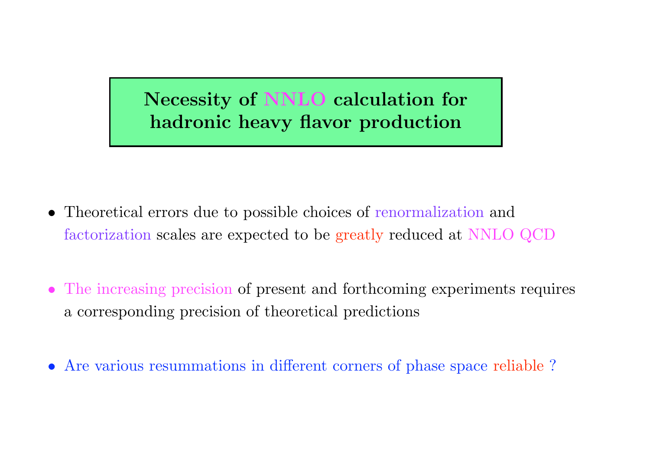# Necessity of NNLO calculation for hadronic heavy flavor production

- Theoretical errors due to possible choices of renormalization and factorization scales are expected to be greatly reduced at NNLO QCD
- The increasing precision of present and forthcoming experiments requires a corresponding precision of theoretical predictions
- Are various resummations in different corners of phase space reliable ?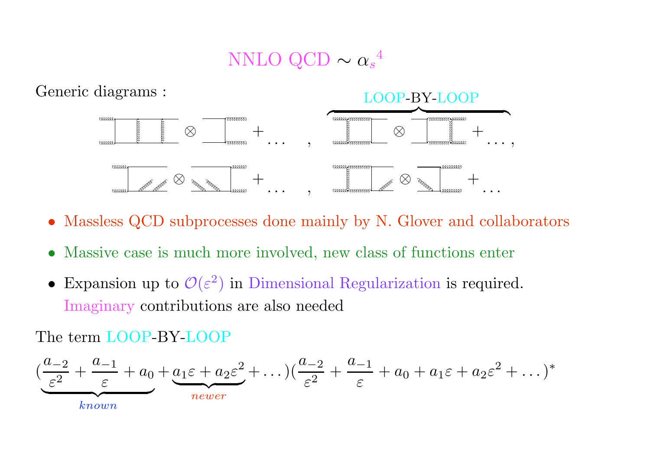# NNLO QCD  $\sim \alpha_s^{-4}$



- Massless QCD subprocesses done mainly by N. Glover and collaborators
- Massive case is much more involved, new class of functions enter
- Expansion up to  $\mathcal{O}(\varepsilon^2)$  in Dimensional Regularization is required. Imaginary contributions are also needed

The term LOOP-BY-LOOP

$$
\left(\underbrace{\frac{a_{-2}}{\varepsilon^2} + \frac{a_{-1}}{\varepsilon} + a_0}_{known} + a_1\varepsilon + a_2\varepsilon^2 + \dots\right)\left(\frac{a_{-2}}{\varepsilon^2} + \frac{a_{-1}}{\varepsilon} + a_0 + a_1\varepsilon + a_2\varepsilon^2 + \dots\right)^*
$$